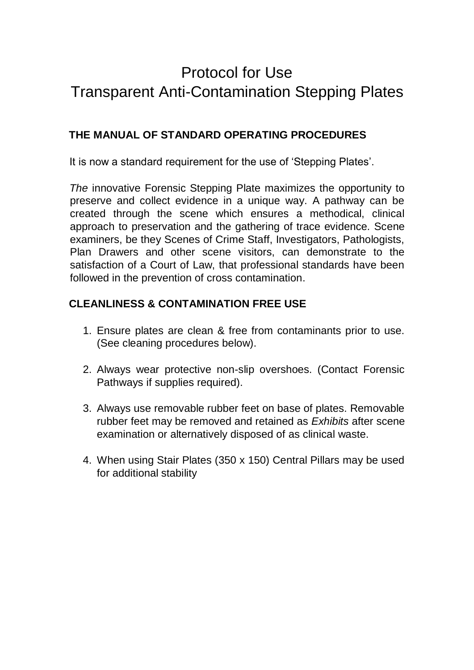# Protocol for Use Transparent Anti-Contamination Stepping Plates

### **THE MANUAL OF STANDARD OPERATING PROCEDURES**

It is now a standard requirement for the use of 'Stepping Plates'.

*The* innovative Forensic Stepping Plate maximizes the opportunity to preserve and collect evidence in a unique way. A pathway can be created through the scene which ensures a methodical, clinical approach to preservation and the gathering of trace evidence. Scene examiners, be they Scenes of Crime Staff, Investigators, Pathologists, Plan Drawers and other scene visitors, can demonstrate to the satisfaction of a Court of Law, that professional standards have been followed in the prevention of cross contamination.

#### **CLEANLINESS & CONTAMINATION FREE USE**

- 1. Ensure plates are clean & free from contaminants prior to use. (See cleaning procedures below).
- 2. Always wear protective non-slip overshoes. (Contact Forensic Pathways if supplies required).
- 3. Always use removable rubber feet on base of plates. Removable rubber feet may be removed and retained as *Exhibits* after scene examination or alternatively disposed of as clinical waste.
- 4. When using Stair Plates (350 x 150) Central Pillars may be used for additional stability